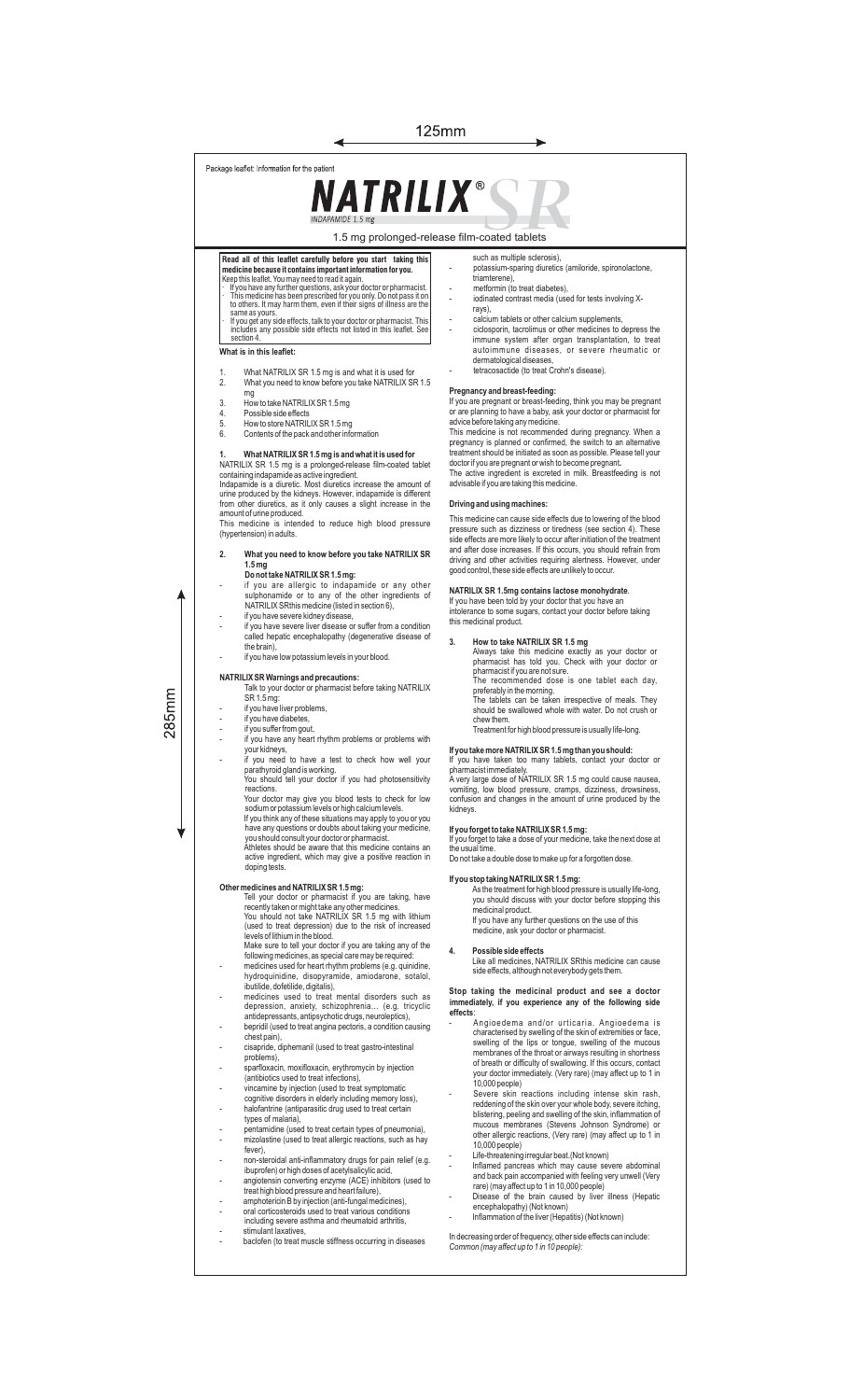### 125mm

Package leaflet: Information for the patient

# **NATRILIX®**

1.5 mg prolonged-release film-coated tablets

◢

- Read all of this leaflet carefully before you start taking this<br>medicine because it contains important information for you.<br>Keep this leaflet. You may need to read it again.<br>It is medicine has been grescribed for you have
- same as yours.<br>· If you get any side effects, talk to your doctor or pharmacist. This<br>includes any possible side effects not listed in this leaflet. See
- **What is in this leaflet:** section 4.

- 1. What NATRILIX SR 1.5 mg is and what it is used for 2. What you need to know before you take NATRILIX SR 1.5 mg
- 3. How to take NATRILIX SR 1.5 mg<br>4 Possible side effects
- 
- 4. Possible side effects<br>5. How to store NATRIL<br>6. Contents of the pack 5. How to store NATRILIX SR 1.5 mg 6. Contents of the pack and other information

1. What NATRILIX SR 1.5 mg is and what it is used for<br>NATRILIX SR 1.5 mg is a prolonged-release film-coated tablet<br>containing indapamide as active ingredient.<br>Indapamide is a diuretic. Most diuretics increase the amount of

(hypertension) in adults.

- **2. What you need to know before you take NATRILIX SR 1.5 mg Do not take NATRILIX SR 1.5 mg:**
- if you are allergic to indapamide or any other sulphonamide or to any of the other ingredients of NATRILIX SRthis medicine (listed in section 6), if you have severe kidney disease,
- if you have severe liver disease or suffer from a condition called hepatic encephalopathy (degenerative disease of
	- if you have low potassium levels in your blood.

## **NATRILIX SR Warnings and precautions:** Talk to your doctor or pharmacist before taking NATRILIX

SR 1.5 mg: - if you have liver problems, - if you have diabetes,

the brain),

- if you suffer from gout,
- if you have any heart rhythm problems or problems with your kidneys,
- you need to have a test to check how well your parathyroid gland is working. You should tell your doctor if you had photosensitivity
	- reactions. Your doctor may give you blood tests to check for low sodium or potassium levels or high calcium levels.
	- If you think any of these situations may apply to you or you have any questions or doubts about taking your medicine, you should consult your doctor or pharmacist.

Athletes should be aware that this medicine contains an active ingredient, which may give a positive reaction in doping tests.

- **Other medicines and NATRILIX SR 1.5 mg:**<br>Tell your doctor or pharmacist if you are taking, have<br>recently taken or might take any other medicines.<br>You should not take NATRILIX SR 1.5 mg with lithium<br>(used to treat depressi
- levels of lithium in the blood.<br>Make sure to tell your doctor if you are taking any of the<br>following medicines, as special care may be required:<br>medicines used for heart rhythm problems (e.g. quinidine,<br>hydroquinidine, dis
- ibutilide, dofetilide, digitalis),
- medicines used to treat mental disorders such as depression, anxiety, schizophrenia… (e.g. tricyclic antidepressants, antipsychotic drugs, neuroleptics), bepridil (used to treat angina pectoris, a condition causing
- chest pain),
- cisapride, diphemanil (used to treat gastro-intestinal
- problems), sparfloxacin, moxifloxacin, erythromycin by injection (antibiotics used to treat infections),
- vincamine by injection (used to treat symptomatic<br>coanitive disorders in elderly including memory loss).
- cognitive disorders in elderly including memory loss), halofantrine (antiparasitic drug used to treat certain types of malaria),
- -<br>the middle to treat certain types of malaria),<br>pentamidine (used to treat certain types of pneumonia),
- mizolastine (used to treat allergic reactions, such as hay fever),
- non-steroidal anti-inflammatory drugs for pain relief (e.g. ibuprofen) or high doses of acetylsalicylic acid, angiotensin converting enzyme (ACE) inhibitors (used to treat high blood pressure and heart failure),
- amphotericin B by injection (anti-fungal medicines), oral corticosteroids used to treat various conditions
- oral corticosteroids used to treat various conditions including severe asthma and rheumatoid arthritis,
- 
- stimulant laxatives, baclofen (to treat muscle stiffness occurring in diseases
- such as multiple sclerosis), potassium-sparing diuretics (amiloride, spironolactone,<br>triamterene)
- 
- triamterene), metformin (to treat diabetes), iodinated contrast media (used for tests involving Xrays),
- calcium tablets or other calcium supplements - ciclosporin, tacrolimus or other medicines to depress the immune system after organ transplantation, to treat autoimmune diseases, or severe rheumatic or
- dermatological diseases, tetracosactide (to treat Crohn's disease).

**Pregnancy and breast-feeding:** If you are pregnant or breast-feeding, think you may be pregnant or are planning to have a baby, ask your doctor or pharmacist for advice before taking any medicine.

This medicine is not recommended during pregnancy. When a<br>pregnancy is planned or confirmed, the switch to an alternative<br>treatment should be initiated as soon as possible. Please tell your<br>doctor if you are pregnant or wi The active ingredient is excreted in milk. Breastfeeding is not

advisable if you are taking this medicine.

### **Driving and using machines:**

This medicine can cause side effects due to lowering of the blood pressure such as dizziness or tiredness (see section 4). These side effects are more likely to occur after initiation of the treatment<br>and after dose increases. If this occurs, you should refrain from<br>driving and other activities requiring alertness. However, under<br>good control, these

**NATRILIX SR 1.5mg contains lactose monohydrate**. If you have been told by your doctor that you have an intolerance to some sugars, contact your doctor before taking this medicinal product.

- **3. How to take NATRILIX SR 1.5 mg**
	- Always take this medicine exactly as your doctor or<br>pharmacist has told you. Check with your doctor or<br>pharmacistifyou are not sure.<br>The recommended dose is one tablet each day,<br>preferably in the morning.<br>The tablets can b
	- chew them. Treatment for high blood pressure is usually life-long.

**If you take more NATRILIX SR 1.5 mg than you should:**<br>If you have taken too many tablets, contact your doctor or<br>pharmacist.immediately.

A very large dose of NATRILIX SR 1.5 mg could cause nausea, vomiting, low blood pressure, cramps, dizziness, drowsiness, confusion and changes in the amount of urine produced by the kidneys.

**If you forget to take NATRILIX SR 1.5 mg:**<br>If you forget to take a dose of your medicine, take the next dose at the usual time. Do not take a double dose to make up for a forgotten dose.

### **If you stop taking NATRILIX SR 1.5 mg:**

As the treatment for high blood pressure is usually life-long, you should discuss with your doctor before stopping this medicinal product. If you have any further questions on the use of this medicine, ask your doctor or pharmacist.

### **4. Possible side effects**

Like all medicines, NATRILIX SRthis medicine can cause side effects, although not everybody gets them.

### **Stop taking the medicinal product and see a doctor immediately, if you experience any of the following side effects**:

- .<br>Angioedema and/or urticaria. Angioedema is characterised by swelling of the skin of extremities or face,<br>swelling of the lips or tongue, swelling of the mucous<br>membranes of the throat or airways resulting in shortness<br>of breath or difficulty of swallowing. If this 10,000 people) - Severe skin reactions including intense skin rash,
- reddening of the skin over your whole body, severe itching,<br>blistering, peeling and swelling of the skin, inflammation of<br>mucous membranes (Stevens Johnson, Syndrome) or<br>other allergic reactions, (Very rare) (may affect up 10,000 people)
- Life-threatening irregular beat.(Not known)
- Inflamed pancreas which may cause severe abdominal and back pain accompanied with feeling very unwell (Very rare) (may affect up to 1 in 10,000 people)
- Disease of the brain caused by liver illness (Hepatic encephalopathy) (Not known)
- Inflammation of the liver (Hepatitis) (Not known)

In decreasing order of frequency, other side effects can include: *Common (may affect up to 1 in 10 people):*

 $285$ mm